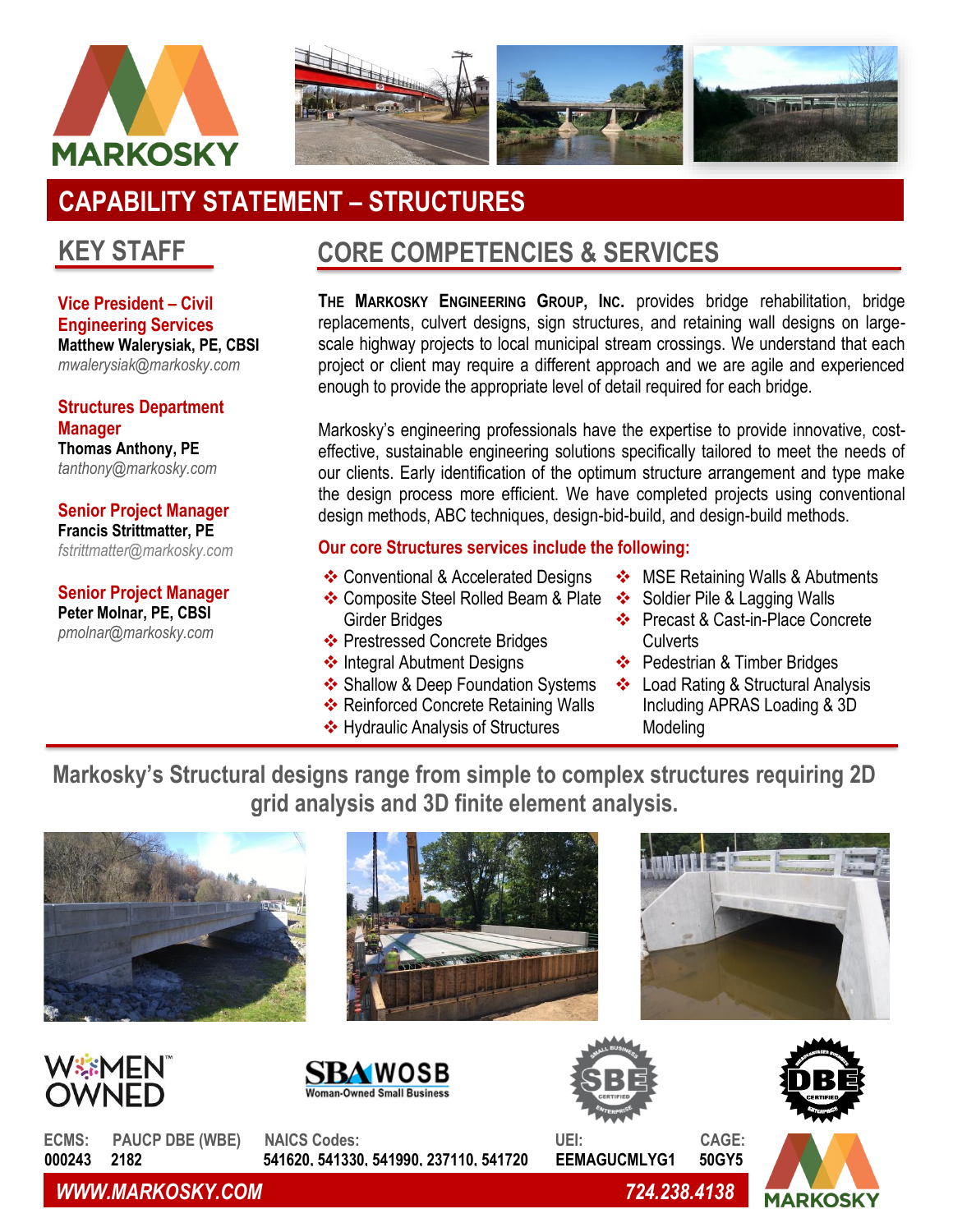



# **CAPABILITY STATEMENT – STRUCTURES**

## **KEY STAFF**

**Vice President – Civil Engineering Services Matthew Walerysiak, PE, CBSI** *mwalerysiak@markosky.com*

**Structures Department Manager Thomas Anthony, PE** *tanthony@markosky.com*

**Senior Project Manager Francis Strittmatter, PE** *[fstrittmatter@markosky.com](mailto:fstrittmatter@markosky.com)*

**Senior Project Manager Peter Molnar, PE, CBSI** *pmolnar@markosky.com*

## **CORE COMPETENCIES & SERVICES**

**THE MARKOSKY ENGINEERING GROUP, INC.** provides bridge rehabilitation, bridge replacements, culvert designs, sign structures, and retaining wall designs on largescale highway projects to local municipal stream crossings. We understand that each project or client may require a different approach and we are agile and experienced enough to provide the appropriate level of detail required for each bridge.

Markosky's engineering professionals have the expertise to provide innovative, costeffective, sustainable engineering solutions specifically tailored to meet the needs of our clients. Early identification of the optimum structure arrangement and type make the design process more efficient. We have completed projects using conventional design methods, ABC techniques, design-bid-build, and design-build methods.

### **Our core Structures services include the following:**

- ❖ Conventional & Accelerated Designs
- ❖ Composite Steel Rolled Beam & Plate Girder Bridges
- ❖ Prestressed Concrete Bridges
- ❖ Integral Abutment Designs
- ❖ Shallow & Deep Foundation Systems
- ❖ Reinforced Concrete Retaining Walls
- ❖ Hydraulic Analysis of Structures
- ❖ MSE Retaining Walls & Abutments
- ❖ Soldier Pile & Lagging Walls
- ❖ Precast & Cast-in-Place Concrete **Culverts**
- ❖ Pedestrian & Timber Bridges
- ❖ Load Rating & Structural Analysis Including APRAS Loading & 3D Modeling

**Markosky's Structural designs range from simple to complex structures requiring 2D grid analysis and 3D finite element analysis.**











**ECMS: PAUCP DBE (WBE) NAICS Codes: UEI: CAGE: 000243 2182 541620, 541330, 541990, 237110, 541720 EEMAGUCMLYG1 50GY5**

*WWW.MARKOSKY.COM 724.238.4138*